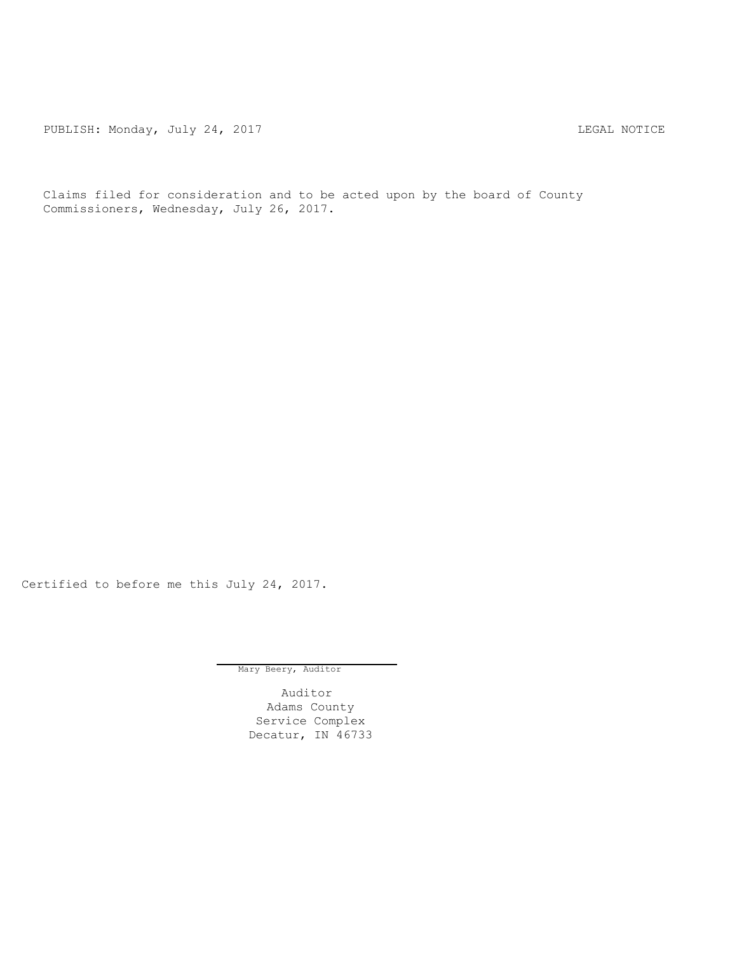PUBLISH: Monday, July 24, 2017 CHANGE CONSERVERT MOTICE

Claims filed for consideration and to be acted upon by the board of County Commissioners, Wednesday, July 26, 2017.

Certified to before me this July 24, 2017.

Mary Beery, Auditor

Auditor Adams County Service Complex Decatur, IN 46733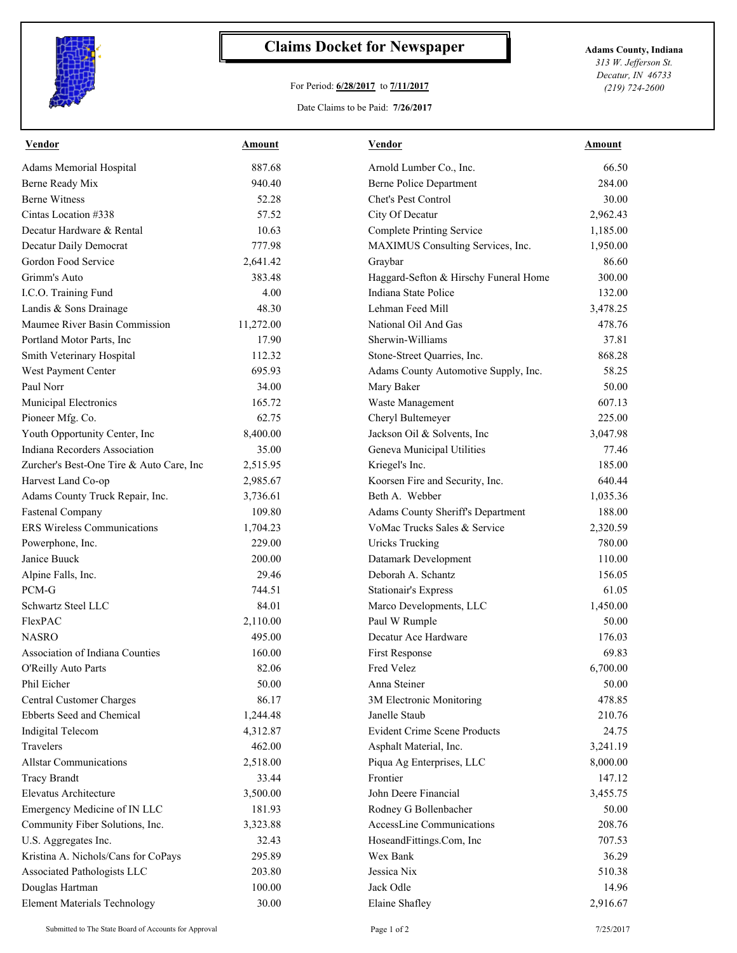

## **Claims Docket for Newspaper Adams County, Indiana**

## For Period: **6/28/2017** to **7/11/2017**

Date Claims to be Paid: **7/26/2017**

*313 W. Jefferson St. Decatur, IN 46733 (219) 724-2600*

| Vendor                                   | Amount    | Vendor                                | Amount   |
|------------------------------------------|-----------|---------------------------------------|----------|
| <b>Adams Memorial Hospital</b>           | 887.68    | Arnold Lumber Co., Inc.               | 66.50    |
| <b>Berne Ready Mix</b>                   | 940.40    | Berne Police Department               | 284.00   |
| <b>Berne Witness</b>                     | 52.28     | Chet's Pest Control                   | 30.00    |
| Cintas Location #338                     | 57.52     | City Of Decatur                       | 2,962.43 |
| Decatur Hardware & Rental                | 10.63     | <b>Complete Printing Service</b>      | 1,185.00 |
| Decatur Daily Democrat                   | 777.98    | MAXIMUS Consulting Services, Inc.     | 1,950.00 |
| Gordon Food Service                      | 2,641.42  | Graybar                               | 86.60    |
| Grimm's Auto                             | 383.48    | Haggard-Sefton & Hirschy Funeral Home | 300.00   |
| I.C.O. Training Fund                     | 4.00      | Indiana State Police                  | 132.00   |
| Landis & Sons Drainage                   | 48.30     | Lehman Feed Mill                      | 3,478.25 |
| Maumee River Basin Commission            | 11,272.00 | National Oil And Gas                  | 478.76   |
| Portland Motor Parts, Inc                | 17.90     | Sherwin-Williams                      | 37.81    |
| Smith Veterinary Hospital                | 112.32    | Stone-Street Quarries, Inc.           | 868.28   |
| West Payment Center                      | 695.93    | Adams County Automotive Supply, Inc.  | 58.25    |
| Paul Norr                                | 34.00     | Mary Baker                            | 50.00    |
| Municipal Electronics                    | 165.72    | Waste Management                      | 607.13   |
| Pioneer Mfg. Co.                         | 62.75     | Cheryl Bultemeyer                     | 225.00   |
| Youth Opportunity Center, Inc            | 8,400.00  | Jackson Oil & Solvents, Inc           | 3,047.98 |
| <b>Indiana Recorders Association</b>     | 35.00     | Geneva Municipal Utilities            | 77.46    |
| Zurcher's Best-One Tire & Auto Care, Inc | 2,515.95  | Kriegel's Inc.                        | 185.00   |
| Harvest Land Co-op                       | 2,985.67  | Koorsen Fire and Security, Inc.       | 640.44   |
| Adams County Truck Repair, Inc.          | 3,736.61  | Beth A. Webber                        | 1,035.36 |
| <b>Fastenal Company</b>                  | 109.80    | Adams County Sheriff's Department     | 188.00   |
| <b>ERS Wireless Communications</b>       | 1,704.23  | VoMac Trucks Sales & Service          | 2,320.59 |
| Powerphone, Inc.                         | 229.00    | <b>Uricks Trucking</b>                | 780.00   |
| Janice Buuck                             | 200.00    | Datamark Development                  | 110.00   |
| Alpine Falls, Inc.                       | 29.46     | Deborah A. Schantz                    | 156.05   |
| PCM-G                                    | 744.51    | <b>Stationair's Express</b>           | 61.05    |
| Schwartz Steel LLC                       | 84.01     | Marco Developments, LLC               | 1,450.00 |
| FlexPAC                                  | 2,110.00  | Paul W Rumple                         | 50.00    |
| NASRO                                    | 495.00    | Decatur Ace Hardware                  | 176.03   |
| <b>Association of Indiana Counties</b>   | 160.00    | First Response                        | 69.83    |
| O'Reilly Auto Parts                      | 82.06     | Fred Velez                            | 6,700.00 |
| Phil Eicher                              | 50.00     | Anna Steiner                          | 50.00    |
| Central Customer Charges                 | 86.17     | 3M Electronic Monitoring              | 478.85   |
| Ebberts Seed and Chemical                | 1,244.48  | Janelle Staub                         | 210.76   |
| <b>Indigital Telecom</b>                 | 4,312.87  | <b>Evident Crime Scene Products</b>   | 24.75    |
| Travelers                                | 462.00    | Asphalt Material, Inc.                | 3,241.19 |
| <b>Allstar Communications</b>            | 2,518.00  | Piqua Ag Enterprises, LLC             | 8,000.00 |
| <b>Tracy Brandt</b>                      | 33.44     | Frontier                              | 147.12   |
| Elevatus Architecture                    | 3,500.00  | John Deere Financial                  | 3,455.75 |
| Emergency Medicine of IN LLC             | 181.93    | Rodney G Bollenbacher                 | 50.00    |
| Community Fiber Solutions, Inc.          | 3,323.88  | AccessLine Communications             | 208.76   |
| U.S. Aggregates Inc.                     | 32.43     | HoseandFittings.Com, Inc              | 707.53   |
| Kristina A. Nichols/Cans for CoPays      | 295.89    | Wex Bank                              | 36.29    |
| Associated Pathologists LLC              | 203.80    | Jessica Nix                           | 510.38   |
| Douglas Hartman                          | 100.00    | Jack Odle                             | 14.96    |
| <b>Element Materials Technology</b>      | 30.00     | Elaine Shafley                        | 2,916.67 |